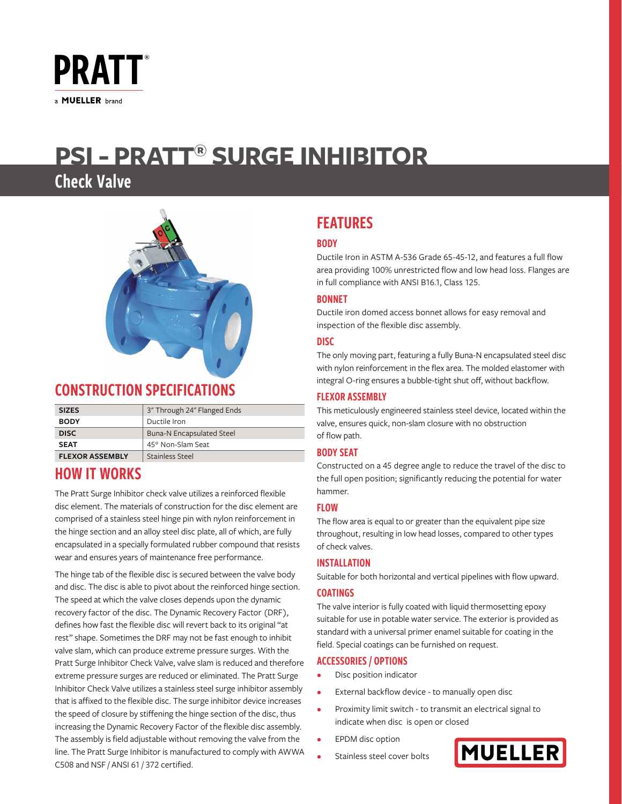

# **PSI - PRATT® SURGE INHIBITOR**

## Check Valve



## CONSTRUCTION SPECIFICATIONS

| <b>SIZES</b>           | 3" Through 24" Flanged Ends |  |
|------------------------|-----------------------------|--|
| <b>BODY</b>            | Ductile Iron                |  |
| <b>DISC</b>            | Buna-N Encapsulated Steel   |  |
| <b>SEAT</b>            | 45° Non-Slam Seat           |  |
| <b>FLEXOR ASSEMBLY</b> | Stainless Steel             |  |

## HOW IT WORKS

The Pratt Surge Inhibitor check valve utilizes a reinforced flexible disc element. The materials of construction for the disc element are comprised of a stainless steel hinge pin with nylon reinforcement in the hinge section and an alloy steel disc plate, all of which, are fully encapsulated in a specially formulated rubber compound that resists wear and ensures years of maintenance free performance.

The hinge tab of the flexible disc is secured between the valve body and disc. The disc is able to pivot about the reinforced hinge section. The speed at which the valve closes depends upon the dynamic recovery factor of the disc. The Dynamic Recovery Factor (DRF), defines how fast the flexible disc will revert back to its original "at rest" shape. Sometimes the DRF may not be fast enough to inhibit valve slam, which can produce extreme pressure surges. With the Pratt Surge Inhibitor Check Valve, valve slam is reduced and therefore extreme pressure surges are reduced or eliminated. The Pratt Surge Inhibitor Check Valve utilizes a stainless steel surge inhibitor assembly that is affixed to the flexible disc. The surge inhibitor device increases the speed of closure by stiffening the hinge section of the disc, thus increasing the Dynamic Recovery Factor of the flexible disc assembly. The assembly is field adjustable without removing the valve from the line. The Pratt Surge Inhibitor is manufactured to comply with AWWA C508 and NSF / ANSI 61 / 372 certified.

## FEATURES

#### **BODY**

Ductile Iron in ASTM A-536 Grade 65-45-12, and features a full flow area providing 100% unrestricted flow and low head loss. Flanges are in full compliance with ANSI B16.1, Class 125.

#### BONNET

Ductile iron domed access bonnet allows for easy removal and inspection of the flexible disc assembly.

#### DISC

The only moving part, featuring a fully Buna-N encapsulated steel disc with nylon reinforcement in the flex area. The molded elastomer with integral O-ring ensures a bubble-tight shut off, without backflow.

#### FLEXOR ASSEMBLY

This meticulously engineered stainless steel device, located within the valve, ensures quick, non-slam closure with no obstruction of flow path.

#### BODY SEAT

Constructed on a 45 degree angle to reduce the travel of the disc to the full open position; significantly reducing the potential for water hammer.

#### FLOW

The flow area is equal to or greater than the equivalent pipe size throughout, resulting in low head losses, compared to other types of check valves.

#### INSTALLATION

Suitable for both horizontal and vertical pipelines with flow upward.

#### COATINGS

The valve interior is fully coated with liquid thermosetting epoxy suitable for use in potable water service. The exterior is provided as standard with a universal primer enamel suitable for coating in the field. Special coatings can be furnished on request.

#### ACCESSORIES / OPTIONS

- Disc position indicator
- External backflow device to manually open disc
- Proximity limit switch to transmit an electrical signal to indicate when disc is open or closed
- EPDM disc option
- Stainless steel cover bolts